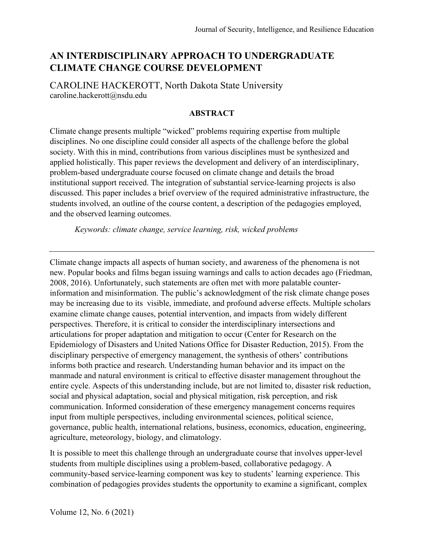# **AN INTERDISCIPLINARY APPROACH TO UNDERGRADUATE CLIMATE CHANGE COURSE DEVELOPMENT**

CAROLINE HACKEROTT, North Dakota State University [caroline.hackerott@nsdu.edu](mailto:caroline.hackerott@nsdu.edu)

#### **ABSTRACT**

Climate change presents multiple "wicked" problems requiring expertise from multiple disciplines. No one discipline could consider all aspects of the challenge before the global society. With this in mind, contributions from various disciplines must be synthesized and applied holistically. This paper reviews the development and delivery of an interdisciplinary, problem-based undergraduate course focused on climate change and details the broad institutional support received. The integration of substantial service-learning projects is also discussed. This paper includes a brief overview of the required administrative infrastructure, the students involved, an outline of the course content, a description of the pedagogies employed, and the observed learning outcomes.

*Keywords: climate change, service learning, risk, wicked problems*

Climate change impacts all aspects of human society, and awareness of the phenomena is not new. Popular books and films began issuing warnings and calls to action decades ago (Friedman, 2008, 2016). Unfortunately, such statements are often met with more palatable counterinformation and misinformation. The public's acknowledgment of the risk climate change poses may be increasing due to its visible, immediate, and profound adverse effects. Multiple scholars examine climate change causes, potential intervention, and impacts from widely different perspectives. Therefore, it is critical to consider the interdisciplinary intersections and articulations for proper adaptation and mitigation to occur (Center for Research on the Epidemiology of Disasters and United Nations Office for Disaster Reduction, 2015). From the disciplinary perspective of emergency management, the synthesis of others' contributions informs both practice and research. Understanding human behavior and its impact on the manmade and natural environment is critical to effective disaster management throughout the entire cycle. Aspects of this understanding include, but are not limited to, disaster risk reduction, social and physical adaptation, social and physical mitigation, risk perception, and risk communication. Informed consideration of these emergency management concerns requires input from multiple perspectives, including environmental sciences, political science, governance, public health, international relations, business, economics, education, engineering, agriculture, meteorology, biology, and climatology.

It is possible to meet this challenge through an undergraduate course that involves upper-level students from multiple disciplines using a problem-based, collaborative pedagogy. A community-based service-learning component was key to students' learning experience. This combination of pedagogies provides students the opportunity to examine a significant, complex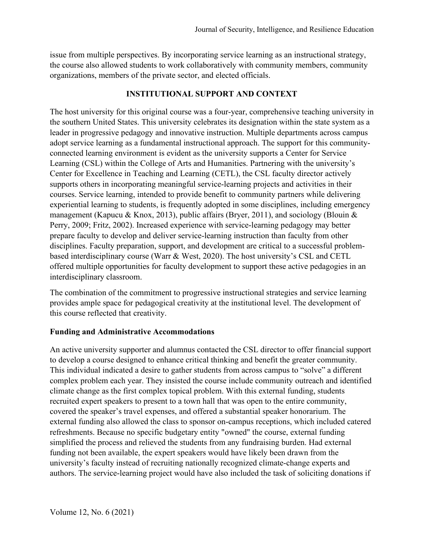issue from multiple perspectives. By incorporating service learning as an instructional strategy, the course also allowed students to work collaboratively with community members, community organizations, members of the private sector, and elected officials.

#### **INSTITUTIONAL SUPPORT AND CONTEXT**

The host university for this original course was a four-year, comprehensive teaching university in the southern United States. This university celebrates its designation within the state system as a leader in progressive pedagogy and innovative instruction. Multiple departments across campus adopt service learning as a fundamental instructional approach. The support for this communityconnected learning environment is evident as the university supports a Center for Service Learning (CSL) within the College of Arts and Humanities. Partnering with the university's Center for Excellence in Teaching and Learning (CETL), the CSL faculty director actively supports others in incorporating meaningful service-learning projects and activities in their courses. Service learning, intended to provide benefit to community partners while delivering experiential learning to students, is frequently adopted in some disciplines, including emergency management (Kapucu & Knox, 2013), public affairs (Bryer, 2011), and sociology (Blouin & Perry, 2009; Fritz, 2002). Increased experience with service-learning pedagogy may better prepare faculty to develop and deliver service-learning instruction than faculty from other disciplines. Faculty preparation, support, and development are critical to a successful problembased interdisciplinary course (Warr & West, 2020). The host university's CSL and CETL offered multiple opportunities for faculty development to support these active pedagogies in an interdisciplinary classroom.

The combination of the commitment to progressive instructional strategies and service learning provides ample space for pedagogical creativity at the institutional level. The development of this course reflected that creativity.

### **Funding and Administrative Accommodations**

An active university supporter and alumnus contacted the CSL director to offer financial support to develop a course designed to enhance critical thinking and benefit the greater community. This individual indicated a desire to gather students from across campus to "solve" a different complex problem each year. They insisted the course include community outreach and identified climate change as the first complex topical problem. With this external funding, students recruited expert speakers to present to a town hall that was open to the entire community, covered the speaker's travel expenses, and offered a substantial speaker honorarium. The external funding also allowed the class to sponsor on-campus receptions, which included catered refreshments. Because no specific budgetary entity "owned" the course, external funding simplified the process and relieved the students from any fundraising burden. Had external funding not been available, the expert speakers would have likely been drawn from the university's faculty instead of recruiting nationally recognized climate-change experts and authors. The service-learning project would have also included the task of soliciting donations if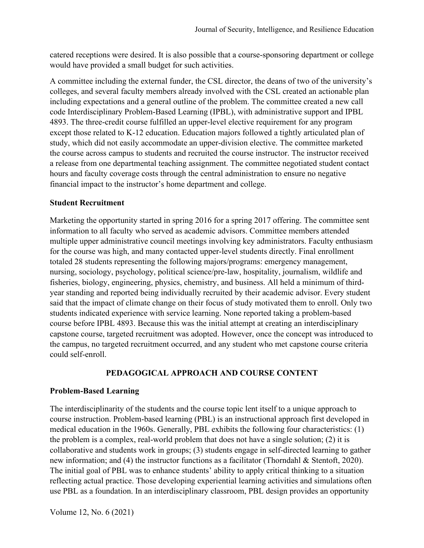catered receptions were desired. It is also possible that a course-sponsoring department or college would have provided a small budget for such activities.

A committee including the external funder, the CSL director, the deans of two of the university's colleges, and several faculty members already involved with the CSL created an actionable plan including expectations and a general outline of the problem. The committee created a new call code Interdisciplinary Problem-Based Learning (IPBL), with administrative support and IPBL 4893. The three-credit course fulfilled an upper-level elective requirement for any program except those related to K-12 education. Education majors followed a tightly articulated plan of study, which did not easily accommodate an upper-division elective. The committee marketed the course across campus to students and recruited the course instructor. The instructor received a release from one departmental teaching assignment. The committee negotiated student contact hours and faculty coverage costs through the central administration to ensure no negative financial impact to the instructor's home department and college.

#### **Student Recruitment**

Marketing the opportunity started in spring 2016 for a spring 2017 offering. The committee sent information to all faculty who served as academic advisors. Committee members attended multiple upper administrative council meetings involving key administrators. Faculty enthusiasm for the course was high, and many contacted upper-level students directly. Final enrollment totaled 28 students representing the following majors/programs: emergency management, nursing, sociology, psychology, political science/pre-law, hospitality, journalism, wildlife and fisheries, biology, engineering, physics, chemistry, and business. All held a minimum of thirdyear standing and reported being individually recruited by their academic advisor. Every student said that the impact of climate change on their focus of study motivated them to enroll. Only two students indicated experience with service learning. None reported taking a problem-based course before IPBL 4893. Because this was the initial attempt at creating an interdisciplinary capstone course, targeted recruitment was adopted. However, once the concept was introduced to the campus, no targeted recruitment occurred, and any student who met capstone course criteria could self-enroll.

# **PEDAGOGICAL APPROACH AND COURSE CONTENT**

### **Problem-Based Learning**

The interdisciplinarity of the students and the course topic lent itself to a unique approach to course instruction. Problem-based learning (PBL) is an instructional approach first developed in medical education in the 1960s. Generally, PBL exhibits the following four characteristics: (1) the problem is a complex, real-world problem that does not have a single solution; (2) it is collaborative and students work in groups; (3) students engage in self-directed learning to gather new information; and (4) the instructor functions as a facilitator (Thorndahl & Stentoft, 2020). The initial goal of PBL was to enhance students' ability to apply critical thinking to a situation reflecting actual practice. Those developing experiential learning activities and simulations often use PBL as a foundation. In an interdisciplinary classroom, PBL design provides an opportunity

Volume 12, No. 6 (2021)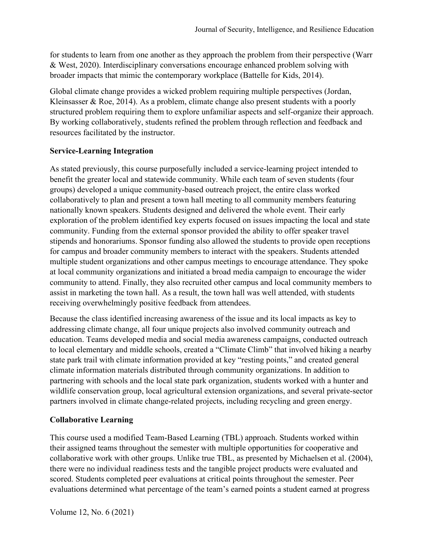for students to learn from one another as they approach the problem from their perspective (Warr & West, 2020). Interdisciplinary conversations encourage enhanced problem solving with broader impacts that mimic the contemporary workplace (Battelle for Kids, 2014).

Global climate change provides a wicked problem requiring multiple perspectives (Jordan, Kleinsasser & Roe, 2014). As a problem, climate change also present students with a poorly structured problem requiring them to explore unfamiliar aspects and self-organize their approach. By working collaboratively, students refined the problem through reflection and feedback and resources facilitated by the instructor.

### **Service-Learning Integration**

As stated previously, this course purposefully included a service-learning project intended to benefit the greater local and statewide community. While each team of seven students (four groups) developed a unique community-based outreach project, the entire class worked collaboratively to plan and present a town hall meeting to all community members featuring nationally known speakers. Students designed and delivered the whole event. Their early exploration of the problem identified key experts focused on issues impacting the local and state community. Funding from the external sponsor provided the ability to offer speaker travel stipends and honorariums. Sponsor funding also allowed the students to provide open receptions for campus and broader community members to interact with the speakers. Students attended multiple student organizations and other campus meetings to encourage attendance. They spoke at local community organizations and initiated a broad media campaign to encourage the wider community to attend. Finally, they also recruited other campus and local community members to assist in marketing the town hall. As a result, the town hall was well attended, with students receiving overwhelmingly positive feedback from attendees.

Because the class identified increasing awareness of the issue and its local impacts as key to addressing climate change, all four unique projects also involved community outreach and education. Teams developed media and social media awareness campaigns, conducted outreach to local elementary and middle schools, created a "Climate Climb" that involved hiking a nearby state park trail with climate information provided at key "resting points," and created general climate information materials distributed through community organizations. In addition to partnering with schools and the local state park organization, students worked with a hunter and wildlife conservation group, local agricultural extension organizations, and several private-sector partners involved in climate change-related projects, including recycling and green energy.

### **Collaborative Learning**

This course used a modified Team-Based Learning (TBL) approach. Students worked within their assigned teams throughout the semester with multiple opportunities for cooperative and collaborative work with other groups. Unlike true TBL, as presented by Michaelsen et al. (2004), there were no individual readiness tests and the tangible project products were evaluated and scored. Students completed peer evaluations at critical points throughout the semester. Peer evaluations determined what percentage of the team's earned points a student earned at progress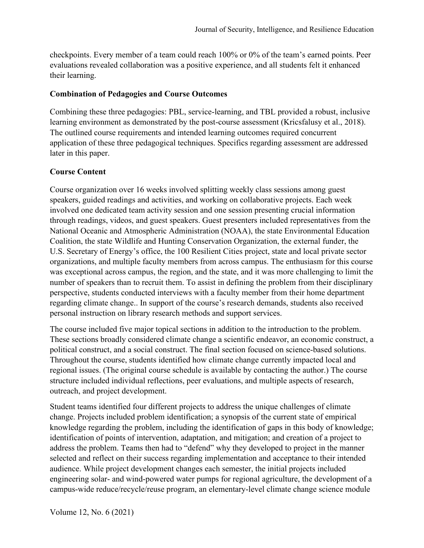checkpoints. Every member of a team could reach 100% or 0% of the team's earned points. Peer evaluations revealed collaboration was a positive experience, and all students felt it enhanced their learning.

#### **Combination of Pedagogies and Course Outcomes**

Combining these three pedagogies: PBL, service-learning, and TBL provided a robust, inclusive learning environment as demonstrated by the post-course assessment (Kricsfalusy et al., 2018). The outlined course requirements and intended learning outcomes required concurrent application of these three pedagogical techniques. Specifics regarding assessment are addressed later in this paper.

### **Course Content**

Course organization over 16 weeks involved splitting weekly class sessions among guest speakers, guided readings and activities, and working on collaborative projects. Each week involved one dedicated team activity session and one session presenting crucial information through readings, videos, and guest speakers. Guest presenters included representatives from the National Oceanic and Atmospheric Administration (NOAA), the state Environmental Education Coalition, the state Wildlife and Hunting Conservation Organization, the external funder, the U.S. Secretary of Energy's office, the 100 Resilient Cities project, state and local private sector organizations, and multiple faculty members from across campus. The enthusiasm for this course was exceptional across campus, the region, and the state, and it was more challenging to limit the number of speakers than to recruit them. To assist in defining the problem from their disciplinary perspective, students conducted interviews with a faculty member from their home department regarding climate change.. In support of the course's research demands, students also received personal instruction on library research methods and support services.

The course included five major topical sections in addition to the introduction to the problem. These sections broadly considered climate change a scientific endeavor, an economic construct, a political construct, and a social construct. The final section focused on science-based solutions. Throughout the course, students identified how climate change currently impacted local and regional issues. (The original course schedule is available by contacting the author.) The course structure included individual reflections, peer evaluations, and multiple aspects of research, outreach, and project development.

Student teams identified four different projects to address the unique challenges of climate change. Projects included problem identification; a synopsis of the current state of empirical knowledge regarding the problem, including the identification of gaps in this body of knowledge; identification of points of intervention, adaptation, and mitigation; and creation of a project to address the problem. Teams then had to "defend" why they developed to project in the manner selected and reflect on their success regarding implementation and acceptance to their intended audience. While project development changes each semester, the initial projects included engineering solar- and wind-powered water pumps for regional agriculture, the development of a campus-wide reduce/recycle/reuse program, an elementary-level climate change science module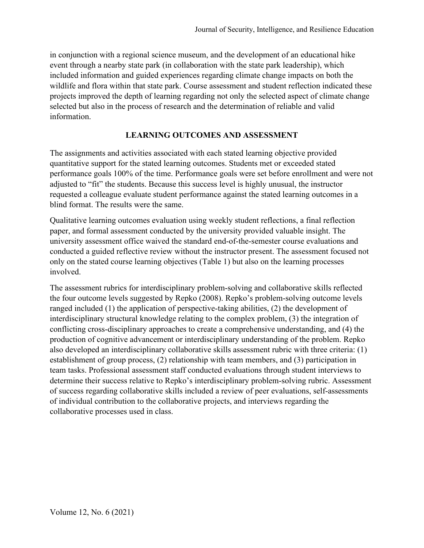in conjunction with a regional science museum, and the development of an educational hike event through a nearby state park (in collaboration with the state park leadership), which included information and guided experiences regarding climate change impacts on both the wildlife and flora within that state park. Course assessment and student reflection indicated these projects improved the depth of learning regarding not only the selected aspect of climate change selected but also in the process of research and the determination of reliable and valid information.

### **LEARNING OUTCOMES AND ASSESSMENT**

The assignments and activities associated with each stated learning objective provided quantitative support for the stated learning outcomes. Students met or exceeded stated performance goals 100% of the time. Performance goals were set before enrollment and were not adjusted to "fit" the students. Because this success level is highly unusual, the instructor requested a colleague evaluate student performance against the stated learning outcomes in a blind format. The results were the same.

Qualitative learning outcomes evaluation using weekly student reflections, a final reflection paper, and formal assessment conducted by the university provided valuable insight. The university assessment office waived the standard end-of-the-semester course evaluations and conducted a guided reflective review without the instructor present. The assessment focused not only on the stated course learning objectives (Table 1) but also on the learning processes involved.

The assessment rubrics for interdisciplinary problem-solving and collaborative skills reflected the four outcome levels suggested by Repko (2008). Repko's problem-solving outcome levels ranged included (1) the application of perspective-taking abilities, (2) the development of interdisciplinary structural knowledge relating to the complex problem, (3) the integration of conflicting cross-disciplinary approaches to create a comprehensive understanding, and (4) the production of cognitive advancement or interdisciplinary understanding of the problem. Repko also developed an interdisciplinary collaborative skills assessment rubric with three criteria: (1) establishment of group process, (2) relationship with team members, and (3) participation in team tasks. Professional assessment staff conducted evaluations through student interviews to determine their success relative to Repko's interdisciplinary problem-solving rubric. Assessment of success regarding collaborative skills included a review of peer evaluations, self-assessments of individual contribution to the collaborative projects, and interviews regarding the collaborative processes used in class.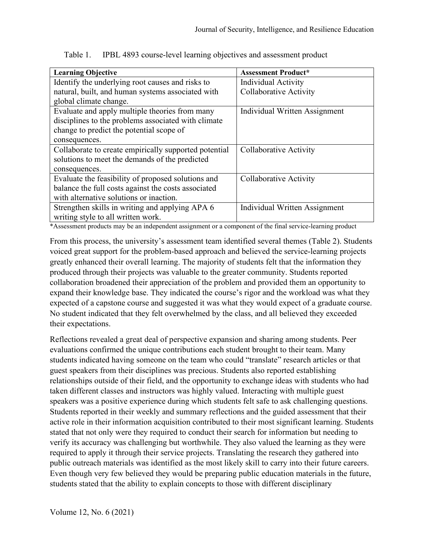| <b>Learning Objective</b>                             | <b>Assessment Product*</b>    |
|-------------------------------------------------------|-------------------------------|
| Identify the underlying root causes and risks to      | <b>Individual Activity</b>    |
| natural, built, and human systems associated with     | <b>Collaborative Activity</b> |
| global climate change.                                |                               |
| Evaluate and apply multiple theories from many        | Individual Written Assignment |
| disciplines to the problems associated with climate   |                               |
| change to predict the potential scope of              |                               |
| consequences.                                         |                               |
| Collaborate to create empirically supported potential | Collaborative Activity        |
| solutions to meet the demands of the predicted        |                               |
| consequences.                                         |                               |
| Evaluate the feasibility of proposed solutions and    | <b>Collaborative Activity</b> |
| balance the full costs against the costs associated   |                               |
| with alternative solutions or inaction.               |                               |
| Strengthen skills in writing and applying APA 6       | Individual Written Assignment |
| writing style to all written work.                    |                               |

Table 1. IPBL 4893 course-level learning objectives and assessment product

\*Assessment products may be an independent assignment or a component of the final service-learning product

From this process, the university's assessment team identified several themes (Table 2). Students voiced great support for the problem-based approach and believed the service-learning projects greatly enhanced their overall learning. The majority of students felt that the information they produced through their projects was valuable to the greater community. Students reported collaboration broadened their appreciation of the problem and provided them an opportunity to expand their knowledge base. They indicated the course's rigor and the workload was what they expected of a capstone course and suggested it was what they would expect of a graduate course. No student indicated that they felt overwhelmed by the class, and all believed they exceeded their expectations.

Reflections revealed a great deal of perspective expansion and sharing among students. Peer evaluations confirmed the unique contributions each student brought to their team. Many students indicated having someone on the team who could "translate" research articles or that guest speakers from their disciplines was precious. Students also reported establishing relationships outside of their field, and the opportunity to exchange ideas with students who had taken different classes and instructors was highly valued. Interacting with multiple guest speakers was a positive experience during which students felt safe to ask challenging questions. Students reported in their weekly and summary reflections and the guided assessment that their active role in their information acquisition contributed to their most significant learning. Students stated that not only were they required to conduct their search for information but needing to verify its accuracy was challenging but worthwhile. They also valued the learning as they were required to apply it through their service projects. Translating the research they gathered into public outreach materials was identified as the most likely skill to carry into their future careers. Even though very few believed they would be preparing public education materials in the future, students stated that the ability to explain concepts to those with different disciplinary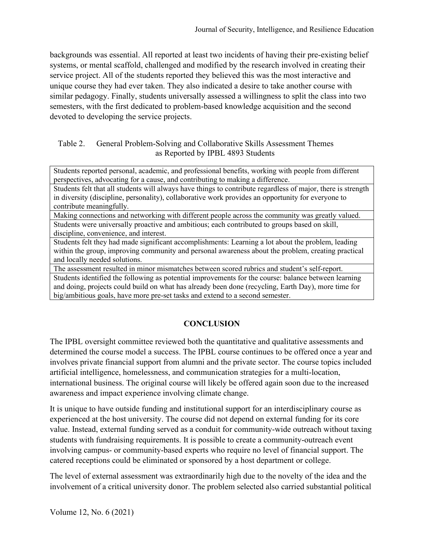backgrounds was essential. All reported at least two incidents of having their pre-existing belief systems, or mental scaffold, challenged and modified by the research involved in creating their service project. All of the students reported they believed this was the most interactive and unique course they had ever taken. They also indicated a desire to take another course with similar pedagogy. Finally, students universally assessed a willingness to split the class into two semesters, with the first dedicated to problem-based knowledge acquisition and the second devoted to developing the service projects.

#### Table 2. General Problem-Solving and Collaborative Skills Assessment Themes as Reported by IPBL 4893 Students

Students reported personal, academic, and professional benefits, working with people from different perspectives, advocating for a cause, and contributing to making a difference.

Students felt that all students will always have things to contribute regardless of major, there is strength in diversity (discipline, personality), collaborative work provides an opportunity for everyone to contribute meaningfully.

Making connections and networking with different people across the community was greatly valued. Students were universally proactive and ambitious; each contributed to groups based on skill, discipline, convenience, and interest.

Students felt they had made significant accomplishments: Learning a lot about the problem, leading within the group, improving community and personal awareness about the problem, creating practical and locally needed solutions.

The assessment resulted in minor mismatches between scored rubrics and student's self-report. Students identified the following as potential improvements for the course: balance between learning and doing, projects could build on what has already been done (recycling, Earth Day), more time for big/ambitious goals, have more pre-set tasks and extend to a second semester.

# **CONCLUSION**

The IPBL oversight committee reviewed both the quantitative and qualitative assessments and determined the course model a success. The IPBL course continues to be offered once a year and involves private financial support from alumni and the private sector. The course topics included artificial intelligence, homelessness, and communication strategies for a multi-location, international business. The original course will likely be offered again soon due to the increased awareness and impact experience involving climate change.

It is unique to have outside funding and institutional support for an interdisciplinary course as experienced at the host university. The course did not depend on external funding for its core value. Instead, external funding served as a conduit for community-wide outreach without taxing students with fundraising requirements. It is possible to create a community-outreach event involving campus- or community-based experts who require no level of financial support. The catered receptions could be eliminated or sponsored by a host department or college.

The level of external assessment was extraordinarily high due to the novelty of the idea and the involvement of a critical university donor. The problem selected also carried substantial political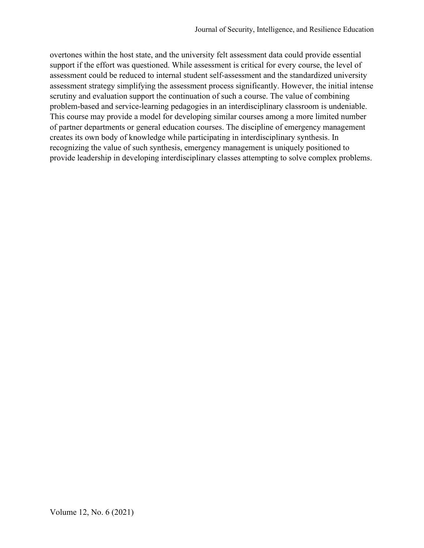overtones within the host state, and the university felt assessment data could provide essential support if the effort was questioned. While assessment is critical for every course, the level of assessment could be reduced to internal student self-assessment and the standardized university assessment strategy simplifying the assessment process significantly. However, the initial intense scrutiny and evaluation support the continuation of such a course. The value of combining problem-based and service-learning pedagogies in an interdisciplinary classroom is undeniable. This course may provide a model for developing similar courses among a more limited number of partner departments or general education courses. The discipline of emergency management creates its own body of knowledge while participating in interdisciplinary synthesis. In recognizing the value of such synthesis, emergency management is uniquely positioned to provide leadership in developing interdisciplinary classes attempting to solve complex problems.